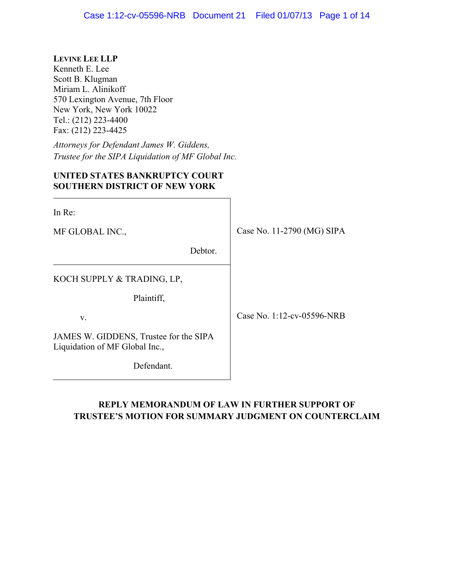## **LEVINE LEE LLP**

Kenneth E. Lee Scott B. Klugman Miriam L. Alinikoff 570 Lexington Avenue, 7th Floor New York, New York 10022 Tel.: (212) 223-4400 Fax: (212) 223-4425

*Attorneys for Defendant James W. Giddens, Trustee for the SIPA Liquidation of MF Global Inc.*

## **UNITED STATES BANKRUPTCY COURT SOUTHERN DISTRICT OF NEW YORK**

| In Re:                                                                   |                            |
|--------------------------------------------------------------------------|----------------------------|
| MF GLOBAL INC.,                                                          | Case No. 11-2790 (MG) SIPA |
| Debtor.                                                                  |                            |
| KOCH SUPPLY & TRADING, LP,                                               |                            |
| Plaintiff,                                                               |                            |
| V.                                                                       | Case No. 1:12-cv-05596-NRB |
| JAMES W. GIDDENS, Trustee for the SIPA<br>Liquidation of MF Global Inc., |                            |

Defendant.

## **REPLY MEMORANDUM OF LAW IN FURTHER SUPPORT OF TRUSTEE'S MOTION FOR SUMMARY JUDGMENT ON COUNTERCLAIM**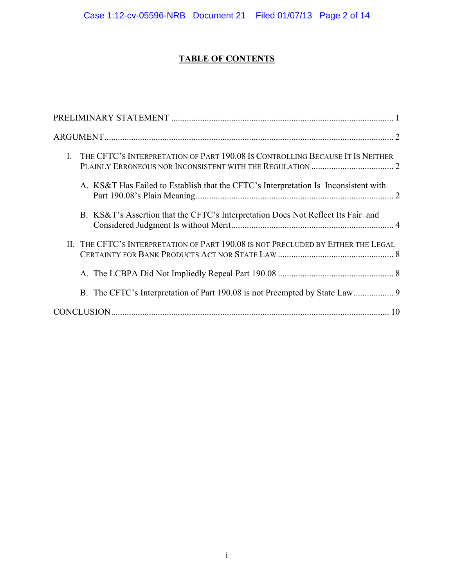# **TABLE OF CONTENTS**

| I. THE CFTC'S INTERPRETATION OF PART 190.08 IS CONTROLLING BECAUSE IT IS NEITHER    |
|-------------------------------------------------------------------------------------|
| A. KS&T Has Failed to Establish that the CFTC's Interpretation Is Inconsistent with |
| B. KS&T's Assertion that the CFTC's Interpretation Does Not Reflect Its Fair and    |
| II. THE CFTC'S INTERPRETATION OF PART 190.08 IS NOT PRECLUDED BY EITHER THE LEGAL   |
|                                                                                     |
|                                                                                     |
| 10                                                                                  |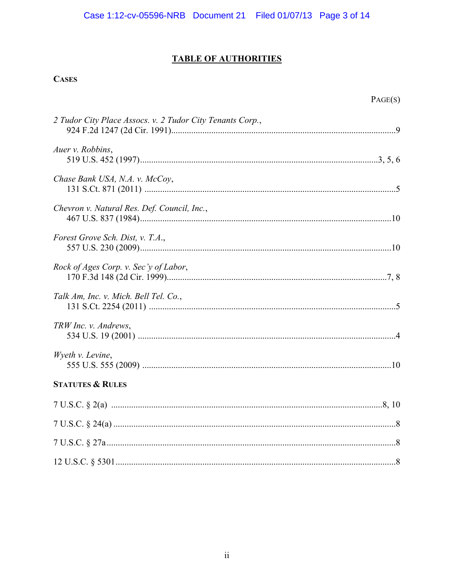## **TABLE OF AUTHORITIES**

## **CASES**

| 2 Tudor City Place Assocs. v. 2 Tudor City Tenants Corp., |  |
|-----------------------------------------------------------|--|
| Auer v. Robbins,                                          |  |
| Chase Bank USA, N.A. v. McCoy,                            |  |
| Chevron v. Natural Res. Def. Council, Inc.,               |  |
| Forest Grove Sch. Dist, v. T.A.,                          |  |
| Rock of Ages Corp. v. Sec'y of Labor,                     |  |
| Talk Am, Inc. v. Mich. Bell Tel. Co.,                     |  |
| TRW Inc. v. Andrews,                                      |  |
| Wyeth v. Levine,                                          |  |
| <b>STATUTES &amp; RULES</b>                               |  |
|                                                           |  |
|                                                           |  |
|                                                           |  |
|                                                           |  |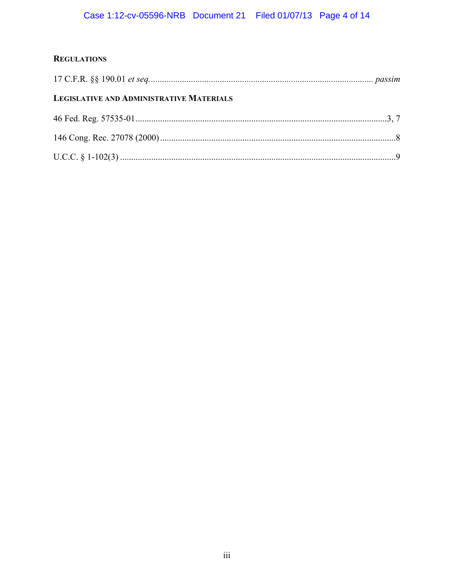## **REGULATIONS**

| LEGISLATIVE AND ADMINISTRATIVE MATERIALS |  |
|------------------------------------------|--|
|                                          |  |
|                                          |  |
|                                          |  |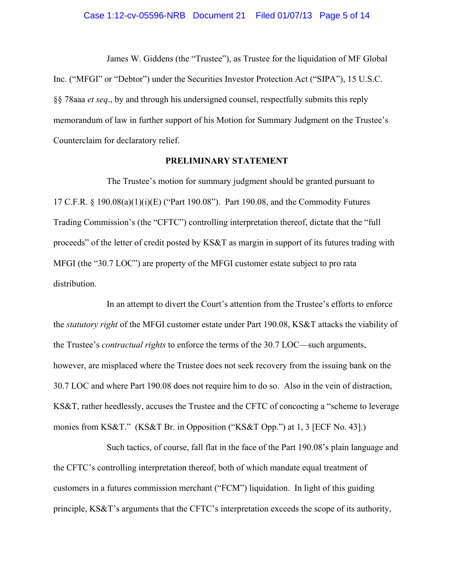#### Case 1:12-cv-05596-NRB Document 21 Filed 01/07/13 Page 5 of 14

James W. Giddens (the "Trustee"), as Trustee for the liquidation of MF Global Inc. ("MFGI" or "Debtor") under the Securities Investor Protection Act ("SIPA"), 15 U.S.C. §§ 78aaa *et seq*., by and through his undersigned counsel, respectfully submits this reply memorandum of law in further support of his Motion for Summary Judgment on the Trustee's Counterclaim for declaratory relief.

## **PRELIMINARY STATEMENT**

<span id="page-4-0"></span>The Trustee's motion for summary judgment should be granted pursuant to 17 C.F.R. § 190.08(a)(1)(i)(E) ("Part 190.08"). Part 190.08, and the Commodity Futures Trading Commission's (the "CFTC") controlling interpretation thereof, dictate that the "full proceeds" of the letter of credit posted by KS&T as margin in support of its futures trading with MFGI (the "30.7 LOC") are property of the MFGI customer estate subject to pro rata distribution.

In an attempt to divert the Court's attention from the Trustee's efforts to enforce the *statutory right* of the MFGI customer estate under Part 190.08, KS&T attacks the viability of the Trustee's *contractual rights* to enforce the terms of the 30.7 LOC—such arguments, however, are misplaced where the Trustee does not seek recovery from the issuing bank on the 30.7 LOC and where Part 190.08 does not require him to do so. Also in the vein of distraction, KS&T, rather heedlessly, accuses the Trustee and the CFTC of concocting a "scheme to leverage monies from KS&T." (KS&T Br. in Opposition ("KS&T Opp.") at 1, 3 [ECF No. 43].)

Such tactics, of course, fall flat in the face of the Part 190.08's plain language and the CFTC's controlling interpretation thereof, both of which mandate equal treatment of customers in a futures commission merchant ("FCM") liquidation. In light of this guiding principle, KS&T's arguments that the CFTC's interpretation exceeds the scope of its authority,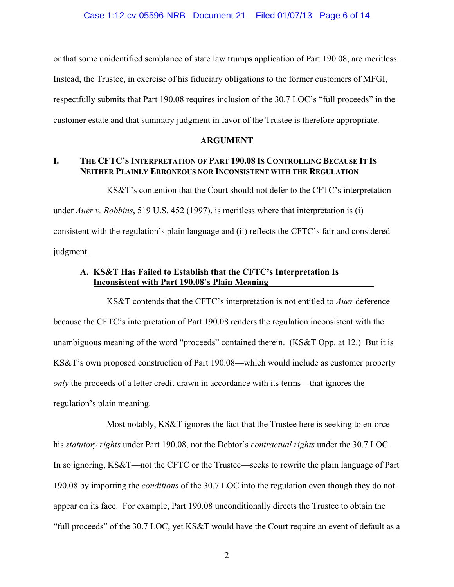or that some unidentified semblance of state law trumps application of Part 190.08, are meritless. Instead, the Trustee, in exercise of his fiduciary obligations to the former customers of MFGI, respectfully submits that Part 190.08 requires inclusion of the 30.7 LOC's "full proceeds" in the customer estate and that summary judgment in favor of the Trustee is therefore appropriate.

## **ARGUMENT**

## <span id="page-5-1"></span><span id="page-5-0"></span>**I. THE CFTC'S INTERPRETATION OF PART 190.08 IS CONTROLLING BECAUSE IT IS NEITHER PLAINLY ERRONEOUS NOR INCONSISTENT WITH THE REGULATION**

KS&T's contention that the Court should not defer to the CFTC's interpretation

under *Auer v. Robbins*, 519 U.S. 452 (1997), is meritless where that interpretation is (i) consistent with the regulation's plain language and (ii) reflects the CFTC's fair and considered

<span id="page-5-2"></span>judgment.

## **A. KS&T Has Failed to Establish that the CFTC's Interpretation Is Inconsistent with Part 190.08's Plain Meaning**

KS&T contends that the CFTC's interpretation is not entitled to *Auer* deference because the CFTC's interpretation of Part 190.08 renders the regulation inconsistent with the unambiguous meaning of the word "proceeds" contained therein. (KS&T Opp. at 12.) But it is KS&T's own proposed construction of Part 190.08—which would include as customer property *only* the proceeds of a letter credit drawn in accordance with its terms—that ignores the regulation's plain meaning.

Most notably, KS&T ignores the fact that the Trustee here is seeking to enforce his *statutory rights* under Part 190.08, not the Debtor's *contractual rights* under the 30.7 LOC. In so ignoring, KS&T—not the CFTC or the Trustee—seeks to rewrite the plain language of Part 190.08 by importing the *conditions* of the 30.7 LOC into the regulation even though they do not appear on its face. For example, Part 190.08 unconditionally directs the Trustee to obtain the "full proceeds" of the 30.7 LOC, yet KS&T would have the Court require an event of default as a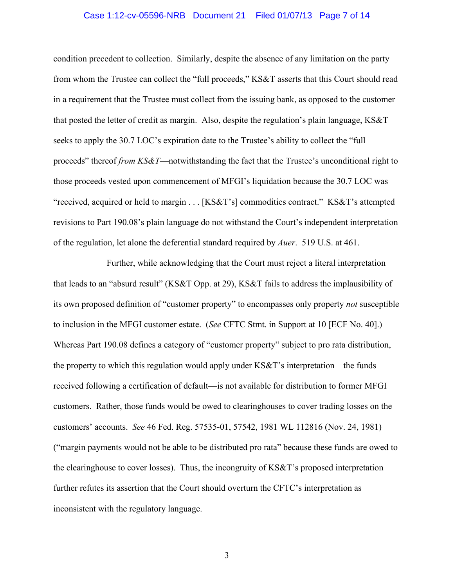#### Case 1:12-cv-05596-NRB Document 21 Filed 01/07/13 Page 7 of 14

condition precedent to collection. Similarly, despite the absence of any limitation on the party from whom the Trustee can collect the "full proceeds," KS&T asserts that this Court should read in a requirement that the Trustee must collect from the issuing bank, as opposed to the customer that posted the letter of credit as margin. Also, despite the regulation's plain language, KS&T seeks to apply the 30.7 LOC's expiration date to the Trustee's ability to collect the "full proceeds" thereof *from KS&T*—notwithstanding the fact that the Trustee's unconditional right to those proceeds vested upon commencement of MFGI's liquidation because the 30.7 LOC was "received, acquired or held to margin . . . [KS&T's] commodities contract." KS&T's attempted revisions to Part 190.08's plain language do not withstand the Court's independent interpretation of the regulation, let alone the deferential standard required by *Auer*. 519 U.S. at 461.

Further, while acknowledging that the Court must reject a literal interpretation that leads to an "absurd result" (KS&T Opp. at 29), KS&T fails to address the implausibility of its own proposed definition of "customer property" to encompasses only property *not* susceptible to inclusion in the MFGI customer estate. (*See* CFTC Stmt. in Support at 10 [ECF No. 40].) Whereas Part 190.08 defines a category of "customer property" subject to pro rata distribution, the property to which this regulation would apply under KS&T's interpretation—the funds received following a certification of default—is not available for distribution to former MFGI customers. Rather, those funds would be owed to clearinghouses to cover trading losses on the customers' accounts. *See* 46 Fed. Reg. 57535-01, 57542, 1981 WL 112816 (Nov. 24, 1981) ("margin payments would not be able to be distributed pro rata" because these funds are owed to the clearinghouse to cover losses). Thus, the incongruity of KS&T's proposed interpretation further refutes its assertion that the Court should overturn the CFTC's interpretation as inconsistent with the regulatory language.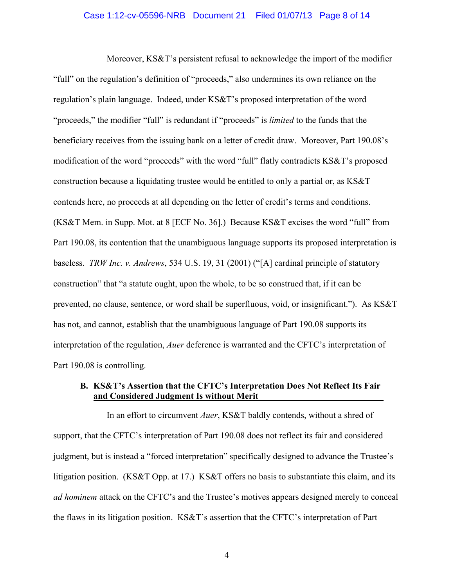#### Case 1:12-cv-05596-NRB Document 21 Filed 01/07/13 Page 8 of 14

Moreover, KS&T's persistent refusal to acknowledge the import of the modifier "full" on the regulation's definition of "proceeds," also undermines its own reliance on the regulation's plain language. Indeed, under KS&T's proposed interpretation of the word "proceeds," the modifier "full" is redundant if "proceeds" is *limited* to the funds that the beneficiary receives from the issuing bank on a letter of credit draw. Moreover, Part 190.08's modification of the word "proceeds" with the word "full" flatly contradicts KS&T's proposed construction because a liquidating trustee would be entitled to only a partial or, as KS&T contends here, no proceeds at all depending on the letter of credit's terms and conditions. (KS&T Mem. in Supp. Mot. at 8 [ECF No. 36].) Because KS&T excises the word "full" from Part 190.08, its contention that the unambiguous language supports its proposed interpretation is baseless. *TRW Inc. v. Andrews*, 534 U.S. 19, 31 (2001) ("[A] cardinal principle of statutory construction" that "a statute ought, upon the whole, to be so construed that, if it can be prevented, no clause, sentence, or word shall be superfluous, void, or insignificant."). As KS&T has not, and cannot, establish that the unambiguous language of Part 190.08 supports its interpretation of the regulation, *Auer* deference is warranted and the CFTC's interpretation of Part 190.08 is controlling.

## <span id="page-7-0"></span>**B. KS&T's Assertion that the CFTC's Interpretation Does Not Reflect Its Fair and Considered Judgment Is without Merit**

In an effort to circumvent *Auer*, KS&T baldly contends, without a shred of support, that the CFTC's interpretation of Part 190.08 does not reflect its fair and considered judgment, but is instead a "forced interpretation" specifically designed to advance the Trustee's litigation position. (KS&T Opp. at 17.) KS&T offers no basis to substantiate this claim, and its *ad hominem* attack on the CFTC's and the Trustee's motives appears designed merely to conceal the flaws in its litigation position. KS&T's assertion that the CFTC's interpretation of Part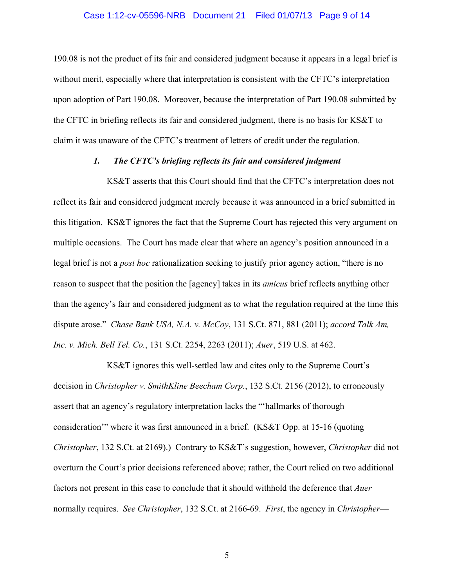### Case 1:12-cv-05596-NRB Document 21 Filed 01/07/13 Page 9 of 14

190.08 is not the product of its fair and considered judgment because it appears in a legal brief is without merit, especially where that interpretation is consistent with the CFTC's interpretation upon adoption of Part 190.08. Moreover, because the interpretation of Part 190.08 submitted by the CFTC in briefing reflects its fair and considered judgment, there is no basis for KS&T to claim it was unaware of the CFTC's treatment of letters of credit under the regulation.

### *1. The CFTC's briefing reflects its fair and considered judgment*

KS&T asserts that this Court should find that the CFTC's interpretation does not reflect its fair and considered judgment merely because it was announced in a brief submitted in this litigation. KS&T ignores the fact that the Supreme Court has rejected this very argument on multiple occasions. The Court has made clear that where an agency's position announced in a legal brief is not a *post hoc* rationalization seeking to justify prior agency action, "there is no reason to suspect that the position the [agency] takes in its *amicus* brief reflects anything other than the agency's fair and considered judgment as to what the regulation required at the time this dispute arose." *Chase Bank USA, N.A. v. McCoy*, 131 S.Ct. 871, 881 (2011); *accord Talk Am, Inc. v. Mich. Bell Tel. Co.*, 131 S.Ct. 2254, 2263 (2011); *Auer*, 519 U.S. at 462.

KS&T ignores this well-settled law and cites only to the Supreme Court's decision in *Christopher v. SmithKline Beecham Corp.*, 132 S.Ct. 2156 (2012), to erroneously assert that an agency's regulatory interpretation lacks the "'hallmarks of thorough consideration'" where it was first announced in a brief. (KS&T Opp. at 15-16 (quoting *Christopher*, 132 S.Ct. at 2169).) Contrary to KS&T's suggestion, however, *Christopher* did not overturn the Court's prior decisions referenced above; rather, the Court relied on two additional factors not present in this case to conclude that it should withhold the deference that *Auer* normally requires. *See Christopher*, 132 S.Ct. at 2166-69. *First*, the agency in *Christopher*—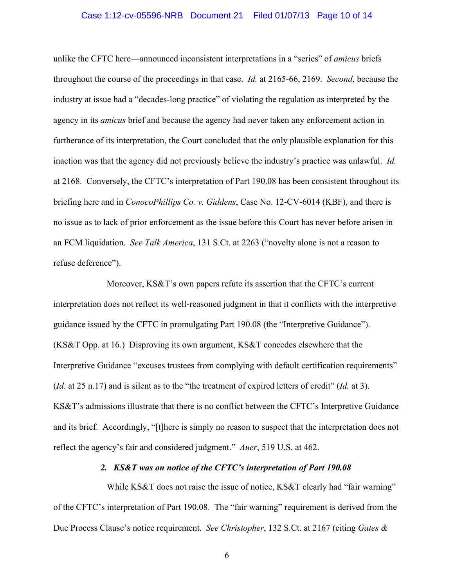#### Case 1:12-cv-05596-NRB Document 21 Filed 01/07/13 Page 10 of 14

unlike the CFTC here—announced inconsistent interpretations in a "series" of *amicus* briefs throughout the course of the proceedings in that case. *Id.* at 2165-66, 2169. *Second*, because the industry at issue had a "decades-long practice" of violating the regulation as interpreted by the agency in its *amicus* brief and because the agency had never taken any enforcement action in furtherance of its interpretation, the Court concluded that the only plausible explanation for this inaction was that the agency did not previously believe the industry's practice was unlawful. *Id.*  at 2168. Conversely, the CFTC's interpretation of Part 190.08 has been consistent throughout its briefing here and in *ConocoPhillips Co. v. Giddens*, Case No. 12-CV-6014 (KBF), and there is no issue as to lack of prior enforcement as the issue before this Court has never before arisen in an FCM liquidation. *See Talk America*, 131 S.Ct. at 2263 ("novelty alone is not a reason to refuse deference").

Moreover, KS&T's own papers refute its assertion that the CFTC's current interpretation does not reflect its well-reasoned judgment in that it conflicts with the interpretive guidance issued by the CFTC in promulgating Part 190.08 (the "Interpretive Guidance"). (KS&T Opp. at 16.) Disproving its own argument, KS&T concedes elsewhere that the Interpretive Guidance "excuses trustees from complying with default certification requirements" (*Id*. at 25 n.17) and is silent as to the "the treatment of expired letters of credit" (*Id.* at 3). KS&T's admissions illustrate that there is no conflict between the CFTC's Interpretive Guidance and its brief. Accordingly, "[t]here is simply no reason to suspect that the interpretation does not reflect the agency's fair and considered judgment." *Auer*, 519 U.S. at 462.

### *2. KS&T was on notice of the CFTC's interpretation of Part 190.08*

While KS&T does not raise the issue of notice, KS&T clearly had "fair warning" of the CFTC's interpretation of Part 190.08. The "fair warning" requirement is derived from the Due Process Clause's notice requirement. *See Christopher*, 132 S.Ct. at 2167 (citing *Gates &*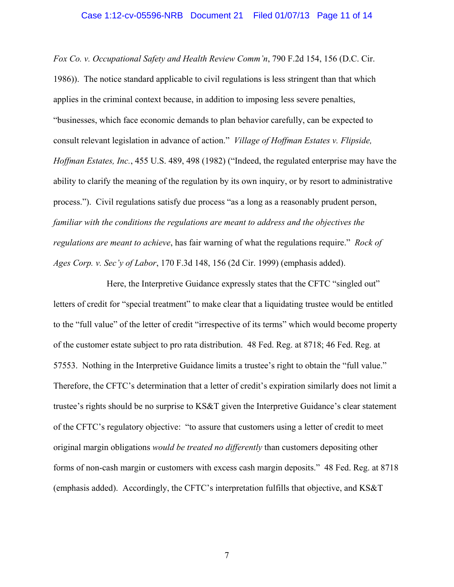*Fox Co. v. Occupational Safety and Health Review Comm'n*, 790 F.2d 154, 156 (D.C. Cir. 1986)). The notice standard applicable to civil regulations is less stringent than that which applies in the criminal context because, in addition to imposing less severe penalties, "businesses, which face economic demands to plan behavior carefully, can be expected to consult relevant legislation in advance of action." *Village of Hoffman Estates v. Flipside, Hoffman Estates, Inc.*, 455 U.S. 489, 498 (1982) ("Indeed, the regulated enterprise may have the ability to clarify the meaning of the regulation by its own inquiry, or by resort to administrative process."). Civil regulations satisfy due process "as a long as a reasonably prudent person, *familiar with the conditions the regulations are meant to address and the objectives the regulations are meant to achieve*, has fair warning of what the regulations require." *Rock of Ages Corp. v. Sec'y of Labor*, 170 F.3d 148, 156 (2d Cir. 1999) (emphasis added).

Here, the Interpretive Guidance expressly states that the CFTC "singled out" letters of credit for "special treatment" to make clear that a liquidating trustee would be entitled to the "full value" of the letter of credit "irrespective of its terms" which would become property of the customer estate subject to pro rata distribution. 48 Fed. Reg. at 8718; 46 Fed. Reg. at 57553. Nothing in the Interpretive Guidance limits a trustee's right to obtain the "full value." Therefore, the CFTC's determination that a letter of credit's expiration similarly does not limit a trustee's rights should be no surprise to KS&T given the Interpretive Guidance's clear statement of the CFTC's regulatory objective: "to assure that customers using a letter of credit to meet original margin obligations *would be treated no differently* than customers depositing other forms of non-cash margin or customers with excess cash margin deposits." 48 Fed. Reg. at 8718 (emphasis added). Accordingly, the CFTC's interpretation fulfills that objective, and KS&T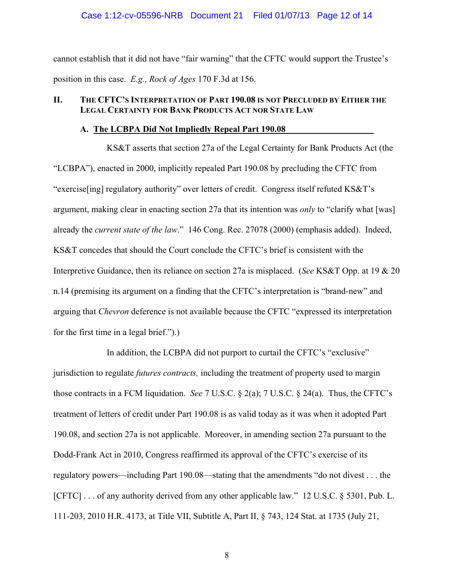### Case 1:12-cv-05596-NRB Document 21 Filed 01/07/13 Page 12 of 14

cannot establish that it did not have "fair warning" that the CFTC would support the Trustee's position in this case. *E.g., Rock of Ages* 170 F.3d at 156.

## <span id="page-11-0"></span>**II. THE CFTC'S INTERPRETATION OF PART 190.08 IS NOT PRECLUDED BY EITHER THE LEGAL CERTAINTY FOR BANK PRODUCTS ACT NOR STATE LAW**

#### **A. The LCBPA Did Not Impliedly Repeal Part 190.08**

<span id="page-11-1"></span>KS&T asserts that section 27a of the Legal Certainty for Bank Products Act (the "LCBPA"), enacted in 2000, implicitly repealed Part 190.08 by precluding the CFTC from "exercise[ing] regulatory authority" over letters of credit. Congress itself refuted KS&T's argument, making clear in enacting section 27a that its intention was *only* to "clarify what [was] already the *current state of the law*." 146 Cong. Rec. 27078 (2000) (emphasis added). Indeed, KS&T concedes that should the Court conclude the CFTC's brief is consistent with the Interpretive Guidance, then its reliance on section 27a is misplaced. (*See* KS&T Opp. at 19 & 20 n.14 (premising its argument on a finding that the CFTC's interpretation is "brand-new" and arguing that *Chevron* deference is not available because the CFTC "expressed its interpretation for the first time in a legal brief.").)

In addition, the LCBPA did not purport to curtail the CFTC's "exclusive" jurisdiction to regulate *futures contracts,* including the treatment of property used to margin those contracts in a FCM liquidation. *See* 7 U.S.C. § 2(a); 7 U.S.C. § 24(a). Thus, the CFTC's treatment of letters of credit under Part 190.08 is as valid today as it was when it adopted Part 190.08, and section 27a is not applicable. Moreover, in amending section 27a pursuant to the Dodd-Frank Act in 2010, Congress reaffirmed its approval of the CFTC's exercise of its regulatory powers—including Part 190.08—stating that the amendments "do not divest . . . the [CFTC] . . . of any authority derived from any other applicable law." 12 U.S.C. § 5301, Pub. L. 111-203, 2010 H.R. 4173, at Title VII, Subtitle A, Part II, § 743, 124 Stat. at 1735 (July 21,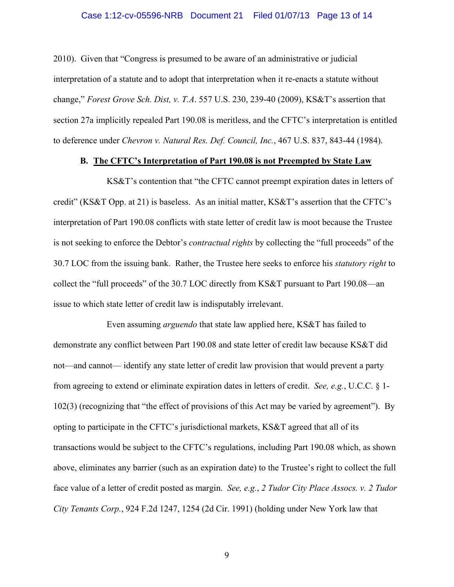#### Case 1:12-cv-05596-NRB Document 21 Filed 01/07/13 Page 13 of 14

2010). Given that "Congress is presumed to be aware of an administrative or judicial interpretation of a statute and to adopt that interpretation when it re-enacts a statute without change," *Forest Grove Sch. Dist, v. T.A*. 557 U.S. 230, 239-40 (2009), KS&T's assertion that section 27a implicitly repealed Part 190.08 is meritless, and the CFTC's interpretation is entitled to deference under *Chevron v. Natural Res. Def. Council, Inc.*, 467 U.S. 837, 843-44 (1984).

### **B. The CFTC's Interpretation of Part 190.08 is not Preempted by State Law**

<span id="page-12-0"></span>KS&T's contention that "the CFTC cannot preempt expiration dates in letters of credit" (KS&T Opp. at 21) is baseless. As an initial matter, KS&T's assertion that the CFTC's interpretation of Part 190.08 conflicts with state letter of credit law is moot because the Trustee is not seeking to enforce the Debtor's *contractual rights* by collecting the "full proceeds" of the 30.7 LOC from the issuing bank. Rather, the Trustee here seeks to enforce his *statutory right* to collect the "full proceeds" of the 30.7 LOC directly from KS&T pursuant to Part 190.08—an issue to which state letter of credit law is indisputably irrelevant.

Even assuming *arguendo* that state law applied here, KS&T has failed to demonstrate any conflict between Part 190.08 and state letter of credit law because KS&T did not—and cannot— identify any state letter of credit law provision that would prevent a party from agreeing to extend or eliminate expiration dates in letters of credit. *See, e.g.*, U.C.C. § 1- 102(3) (recognizing that "the effect of provisions of this Act may be varied by agreement"). By opting to participate in the CFTC's jurisdictional markets, KS&T agreed that all of its transactions would be subject to the CFTC's regulations, including Part 190.08 which, as shown above, eliminates any barrier (such as an expiration date) to the Trustee's right to collect the full face value of a letter of credit posted as margin. *See, e.g.*, *2 Tudor City Place Assocs. v. 2 Tudor City Tenants Corp.*, 924 F.2d 1247, 1254 (2d Cir. 1991) (holding under New York law that